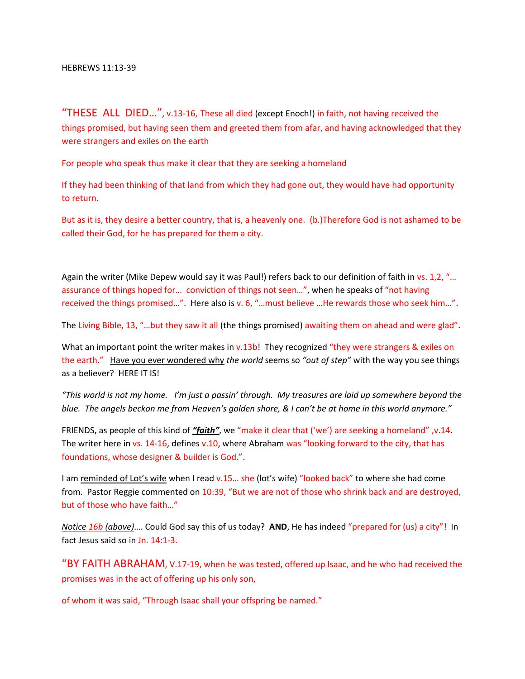"THESE ALL DIED…", v.13-16, These all died (except Enoch!) in faith, not having received the things promised, but having seen them and greeted them from afar, and having acknowledged that they were strangers and exiles on the earth

For people who speak thus make it clear that they are seeking a homeland

If they had been thinking of that land from which they had gone out, they would have had opportunity to return.

But as it is, they desire a better country, that is, a heavenly one. (b.)Therefore God is not ashamed to be called their God, for he has prepared for them a city.

Again the writer (Mike Depew would say it was Paul!) refers back to our definition of faith in vs. 1,2, "... assurance of things hoped for… conviction of things not seen…", when he speaks of "not having received the things promised…". Here also is v. 6, "…must believe …He rewards those who seek him…".

The Living Bible, 13, "…but they saw it all (the things promised) awaiting them on ahead and were glad".

What an important point the writer makes in v.13b! They recognized "they were strangers & exiles on the earth." Have you ever wondered why *the world* seems so *"out of step"* with the way you see things as a believer? HERE IT IS!

*"This world is not my home. I'm just a passin' through. My treasures are laid up somewhere beyond the blue. The angels beckon me from Heaven's golden shore, & I can't be at home in this world anymore."*

FRIENDS, as people of this kind of *"faith"*, we "make it clear that ('we') are seeking a homeland" ,v.14. The writer here in vs. 14-16, defines v.10, where Abraham was "looking forward to the city, that has foundations, whose designer & builder is God.".

I am reminded of Lot's wife when I read v.15... she (lot's wife) "looked back" to where she had come from. Pastor Reggie commented on 10:39, "But we are not of those who shrink back and are destroyed, but of those who have faith…"

*Notice 16b (above)*…. Could God say this of us today? **AND**, He has indeed "prepared for (us) a city"! In fact Jesus said so in Jn. 14:1-3.

"BY FAITH ABRAHAM, V.17-19, when he was tested, offered up Isaac, and he who had received the promises was in the act of offering up his only son,

of whom it was said, "Through Isaac shall your offspring be named."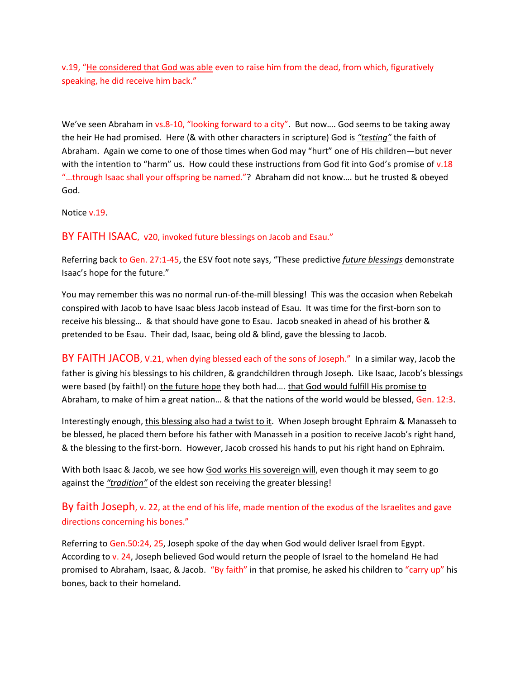v.19, "He considered that God was able even to raise him from the dead, from which, figuratively speaking, he did receive him back."

We've seen Abraham in vs.8-10, "looking forward to a city". But now…. God seems to be taking away the heir He had promised. Here (& with other characters in scripture) God is *"testing"* the faith of Abraham. Again we come to one of those times when God may "hurt" one of His children—but never with the intention to "harm" us. How could these instructions from God fit into God's promise of v.18 "…through Isaac shall your offspring be named."? Abraham did not know…. but he trusted & obeyed God.

Notice v.19.

BY FAITH ISAAC, v20, invoked future blessings on Jacob and Esau."

Referring back to Gen. 27:1-45, the ESV foot note says, "These predictive *future blessings* demonstrate Isaac's hope for the future."

You may remember this was no normal run-of-the-mill blessing! This was the occasion when Rebekah conspired with Jacob to have Isaac bless Jacob instead of Esau. It was time for the first-born son to receive his blessing… & that should have gone to Esau. Jacob sneaked in ahead of his brother & pretended to be Esau. Their dad, Isaac, being old & blind, gave the blessing to Jacob.

BY FAITH JACOB, V.21, when dying blessed each of the sons of Joseph." In a similar way, Jacob the father is giving his blessings to his children, & grandchildren through Joseph. Like Isaac, Jacob's blessings were based (by faith!) on the future hope they both had…. that God would fulfill His promise to Abraham, to make of him a great nation… & that the nations of the world would be blessed, Gen. 12:3.

Interestingly enough, this blessing also had a twist to it. When Joseph brought Ephraim & Manasseh to be blessed, he placed them before his father with Manasseh in a position to receive Jacob's right hand, & the blessing to the first-born. However, Jacob crossed his hands to put his right hand on Ephraim.

With both Isaac & Jacob, we see how God works His sovereign will, even though it may seem to go against the *"tradition"* of the eldest son receiving the greater blessing!

# By faith Joseph, v. 22, at the end of his life, made mention of the exodus of the Israelites and gave directions concerning his bones."

Referring to Gen.50:24, 25, Joseph spoke of the day when God would deliver Israel from Egypt. According to v. 24, Joseph believed God would return the people of Israel to the homeland He had promised to Abraham, Isaac, & Jacob. "By faith" in that promise, he asked his children to "carry up" his bones, back to their homeland.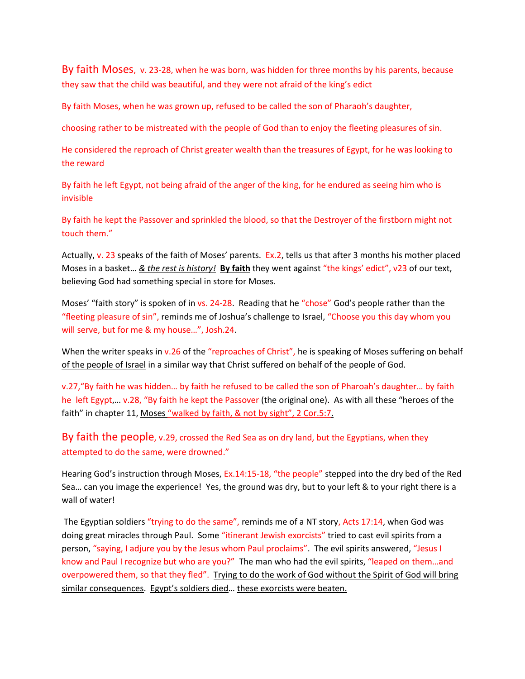By faith Moses, v. 23-28, when he was born, was hidden for three months by his parents, because they saw that the child was beautiful, and they were not afraid of the king's edict

By faith Moses, when he was grown up, refused to be called the son of Pharaoh's daughter,

choosing rather to be mistreated with the people of God than to enjoy the fleeting pleasures of sin.

He considered the reproach of Christ greater wealth than the treasures of Egypt, for he was looking to the reward

By faith he left Egypt, not being afraid of the anger of the king, for he endured as seeing him who is invisible

By faith he kept the Passover and sprinkled the blood, so that the Destroyer of the firstborn might not touch them."

Actually, v. 23 speaks of the faith of Moses' parents. Ex.2, tells us that after 3 months his mother placed Moses in a basket… *& the rest is history!* **By faith** they went against "the kings' edict", v23 of our text, believing God had something special in store for Moses.

Moses' "faith story" is spoken of in vs. 24-28. Reading that he "chose" God's people rather than the "fleeting pleasure of sin", reminds me of Joshua's challenge to Israel, "Choose you this day whom you will serve, but for me & my house…", Josh.24.

When the writer speaks in v.26 of the "reproaches of Christ", he is speaking of Moses suffering on behalf of the people of Israel in a similar way that Christ suffered on behalf of the people of God.

v.27,"By faith he was hidden… by faith he refused to be called the son of Pharoah's daughter… by faith he left Egypt,… v.28, "By faith he kept the Passover (the original one). As with all these "heroes of the faith" in chapter 11, Moses "walked by faith, & not by sight", 2 Cor.5:7.

By faith the people, v.29, crossed the Red Sea as on dry land, but the Egyptians, when they attempted to do the same, were drowned."

Hearing God's instruction through Moses, Ex.14:15-18, "the people" stepped into the dry bed of the Red Sea… can you image the experience! Yes, the ground was dry, but to your left & to your right there is a wall of water!

The Egyptian soldiers "trying to do the same", reminds me of a NT story, Acts 17:14, when God was doing great miracles through Paul. Some "itinerant Jewish exorcists" tried to cast evil spirits from a person, "saying, I adjure you by the Jesus whom Paul proclaims". The evil spirits answered, "Jesus I know and Paul I recognize but who are you?" The man who had the evil spirits, "leaped on them...and overpowered them, so that they fled". Trying to do the work of God without the Spirit of God will bring similar consequences. Egypt's soldiers died… these exorcists were beaten.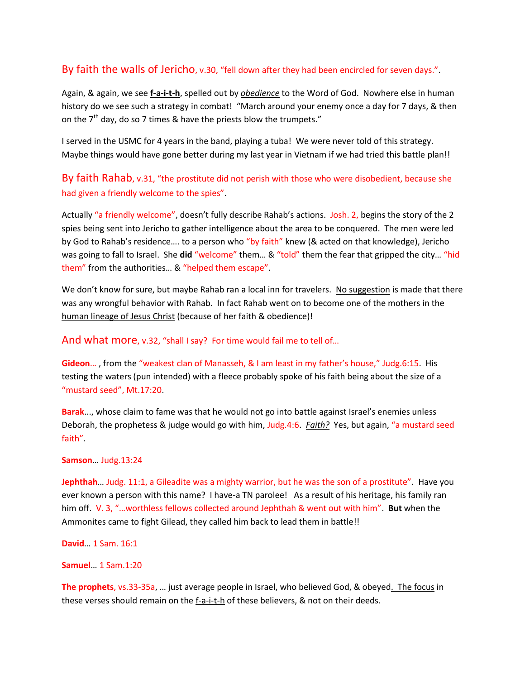### By faith the walls of Jericho, v.30, "fell down after they had been encircled for seven days.".

Again, & again, we see **f-a-i-t-h**, spelled out by *obedience* to the Word of God. Nowhere else in human history do we see such a strategy in combat! "March around your enemy once a day for 7 days, & then on the  $7<sup>th</sup>$  day, do so 7 times & have the priests blow the trumpets."

I served in the USMC for 4 years in the band, playing a tuba! We were never told of this strategy. Maybe things would have gone better during my last year in Vietnam if we had tried this battle plan!!

## By faith Rahab, v.31, "the prostitute did not perish with those who were disobedient, because she had given a friendly welcome to the spies".

Actually "a friendly welcome", doesn't fully describe Rahab's actions. Josh. 2, begins the story of the 2 spies being sent into Jericho to gather intelligence about the area to be conquered. The men were led by God to Rahab's residence…. to a person who "by faith" knew (& acted on that knowledge), Jericho was going to fall to Israel. She **did** "welcome" them… & "told" them the fear that gripped the city… "hid them" from the authorities… & "helped them escape".

We don't know for sure, but maybe Rahab ran a local inn for travelers. No suggestion is made that there was any wrongful behavior with Rahab. In fact Rahab went on to become one of the mothers in the human lineage of Jesus Christ (because of her faith & obedience)!

#### And what more, v.32, "shall I say? For time would fail me to tell of…

**Gideon**… , from the "weakest clan of Manasseh, & I am least in my father's house," Judg.6:15. His testing the waters (pun intended) with a fleece probably spoke of his faith being about the size of a "mustard seed", Mt.17:20.

**Barak**..., whose claim to fame was that he would not go into battle against Israel's enemies unless Deborah, the prophetess & judge would go with him, Judg.4:6. *Faith?* Yes, but again, "a mustard seed faith".

#### **Samson**… Judg.13:24

**Jephthah**… Judg. 11:1, a Gileadite was a mighty warrior, but he was the son of a prostitute". Have you ever known a person with this name? I have-a TN parolee! As a result of his heritage, his family ran him off. V. 3, "…worthless fellows collected around Jephthah & went out with him". **But** when the Ammonites came to fight Gilead, they called him back to lead them in battle!!

#### **David**… 1 Sam. 16:1

### **Samuel**… 1 Sam.1:20

**The prophets**, vs.33-35a, … just average people in Israel, who believed God, & obeyed. The focus in these verses should remain on the f-a-i-t-h of these believers, & not on their deeds.